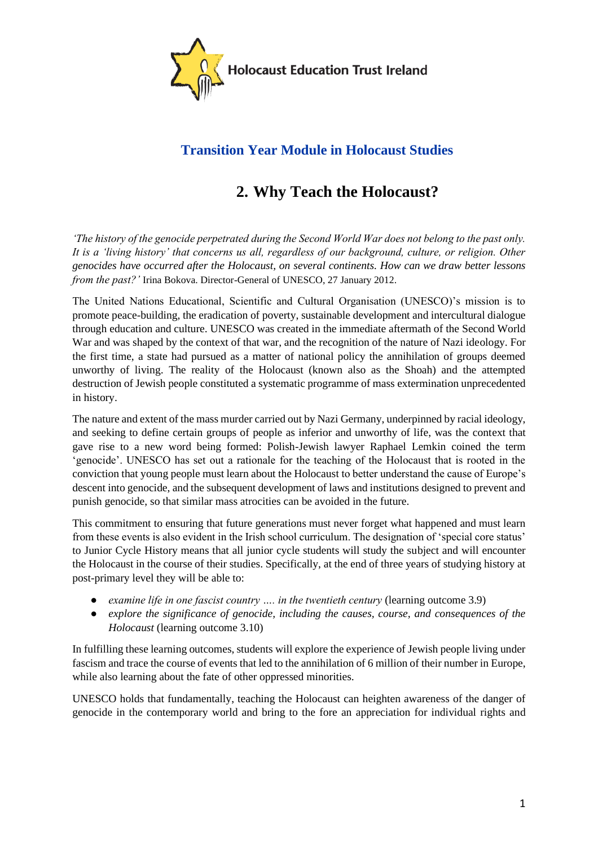

# **Transition Year Module in Holocaust Studies**

# **2. Why Teach the Holocaust?**

*'The history of the genocide perpetrated during the Second World War does not belong to the past only. It is a 'living history' that concerns us all, regardless of our background, culture, or religion. Other genocides have occurred after the Holocaust, on several continents. How can we draw better lessons from the past?'* Irina Bokova. Director-General of UNESCO, 27 January 2012.

The United Nations Educational, Scientific and Cultural Organisation (UNESCO)'s mission is to promote peace-building, the eradication of poverty, sustainable development and intercultural dialogue through education and culture. UNESCO was created in the immediate aftermath of the Second World War and was shaped by the context of that war, and the recognition of the nature of Nazi ideology. For the first time, a state had pursued as a matter of national policy the annihilation of groups deemed unworthy of living. The reality of the Holocaust (known also as the Shoah) and the attempted destruction of Jewish people constituted a systematic programme of mass extermination unprecedented in history.

The nature and extent of the mass murder carried out by Nazi Germany, underpinned by racial ideology, and seeking to define certain groups of people as inferior and unworthy of life, was the context that gave rise to a new word being formed: Polish-Jewish lawyer Raphael Lemkin coined the term 'genocide'. UNESCO has set out a rationale for the teaching of the Holocaust that is rooted in the conviction that young people must learn about the Holocaust to better understand the cause of Europe's descent into genocide, and the subsequent development of laws and institutions designed to prevent and punish genocide, so that similar mass atrocities can be avoided in the future.

This commitment to ensuring that future generations must never forget what happened and must learn from these events is also evident in the Irish school curriculum. The designation of 'special core status' to Junior Cycle History means that all junior cycle students will study the subject and will encounter the Holocaust in the course of their studies. Specifically, at the end of three years of studying history at post-primary level they will be able to:

- *examine life in one fascist country .... in the twentieth century (learning outcome 3.9)*
- *explore the significance of genocide, including the causes, course, and consequences of the Holocaust* (learning outcome 3.10)

In fulfilling these learning outcomes, students will explore the experience of Jewish people living under fascism and trace the course of events that led to the annihilation of 6 million of their number in Europe, while also learning about the fate of other oppressed minorities.

UNESCO holds that fundamentally, teaching the Holocaust can heighten awareness of the danger of genocide in the contemporary world and bring to the fore an appreciation for individual rights and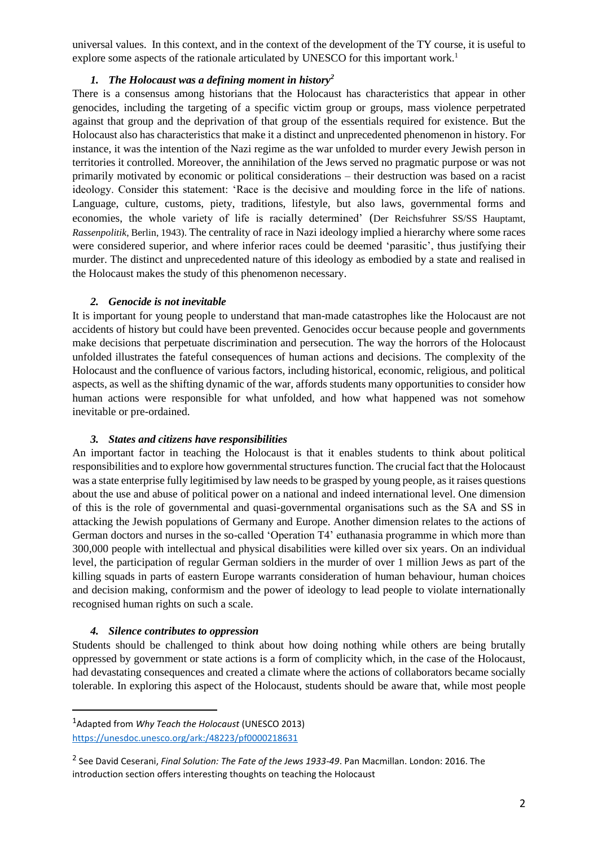universal values. In this context, and in the context of the development of the TY course, it is useful to explore some aspects of the rationale articulated by UNESCO for this important work.<sup>1</sup>

#### *1. The Holocaust was a defining moment in history<sup>2</sup>*

There is a consensus among historians that the Holocaust has characteristics that appear in other genocides, including the targeting of a specific victim group or groups, mass violence perpetrated against that group and the deprivation of that group of the essentials required for existence. But the Holocaust also has characteristics that make it a distinct and unprecedented phenomenon in history. For instance, it was the intention of the Nazi regime as the war unfolded to murder every Jewish person in territories it controlled. Moreover, the annihilation of the Jews served no pragmatic purpose or was not primarily motivated by economic or political considerations – their destruction was based on a racist ideology. Consider this statement: 'Race is the decisive and moulding force in the life of nations. Language, culture, customs, piety, traditions, lifestyle, but also laws, governmental forms and economies, the whole variety of life is racially determined' (Der Reichsfuhrer SS/SS Hauptamt, *Rassenpolitik*, Berlin, 1943). The centrality of race in Nazi ideology implied a hierarchy where some races were considered superior, and where inferior races could be deemed 'parasitic', thus justifying their murder. The distinct and unprecedented nature of this ideology as embodied by a state and realised in the Holocaust makes the study of this phenomenon necessary.

#### *2. Genocide is not inevitable*

It is important for young people to understand that man-made catastrophes like the Holocaust are not accidents of history but could have been prevented. Genocides occur because people and governments make decisions that perpetuate discrimination and persecution. The way the horrors of the Holocaust unfolded illustrates the fateful consequences of human actions and decisions. The complexity of the Holocaust and the confluence of various factors, including historical, economic, religious, and political aspects, as well as the shifting dynamic of the war, affords students many opportunities to consider how human actions were responsible for what unfolded, and how what happened was not somehow inevitable or pre-ordained.

### *3. States and citizens have responsibilities*

An important factor in teaching the Holocaust is that it enables students to think about political responsibilities and to explore how governmental structures function. The crucial fact that the Holocaust was a state enterprise fully legitimised by law needs to be grasped by young people, as it raises questions about the use and abuse of political power on a national and indeed international level. One dimension of this is the role of governmental and quasi-governmental organisations such as the SA and SS in attacking the Jewish populations of Germany and Europe. Another dimension relates to the actions of German doctors and nurses in the so-called 'Operation T4' euthanasia programme in which more than 300,000 people with intellectual and physical disabilities were killed over six years. On an individual level, the participation of regular German soldiers in the murder of over 1 million Jews as part of the killing squads in parts of eastern Europe warrants consideration of human behaviour, human choices and decision making, conformism and the power of ideology to lead people to violate internationally recognised human rights on such a scale.

### *4. Silence contributes to oppression*

Students should be challenged to think about how doing nothing while others are being brutally oppressed by government or state actions is a form of complicity which, in the case of the Holocaust, had devastating consequences and created a climate where the actions of collaborators became socially tolerable. In exploring this aspect of the Holocaust, students should be aware that, while most people

<sup>1</sup>Adapted from *Why Teach the Holocaust* (UNESCO 2013) <https://unesdoc.unesco.org/ark:/48223/pf0000218631>

<sup>2</sup> See David Ceserani, *Final Solution: The Fate of the Jews 1933-49*. Pan Macmillan. London: 2016. The introduction section offers interesting thoughts on teaching the Holocaust